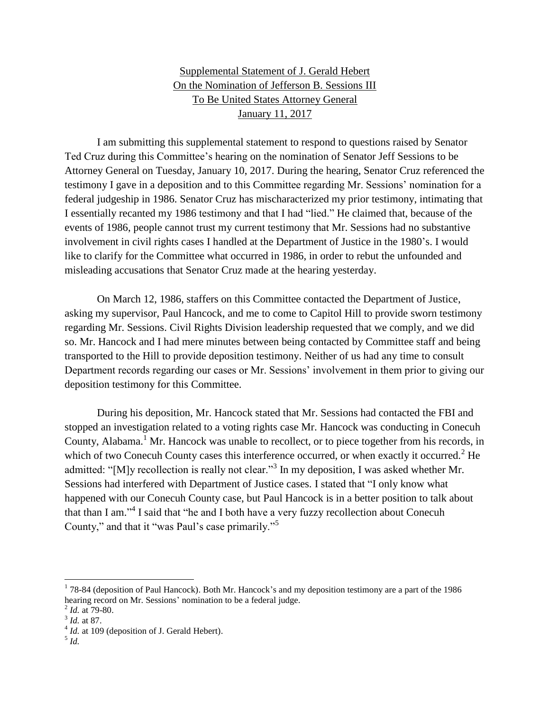## Supplemental Statement of J. Gerald Hebert On the Nomination of Jefferson B. Sessions III To Be United States Attorney General January 11, 2017

I am submitting this supplemental statement to respond to questions raised by Senator Ted Cruz during this Committee's hearing on the nomination of Senator Jeff Sessions to be Attorney General on Tuesday, January 10, 2017. During the hearing, Senator Cruz referenced the testimony I gave in a deposition and to this Committee regarding Mr. Sessions' nomination for a federal judgeship in 1986. Senator Cruz has mischaracterized my prior testimony, intimating that I essentially recanted my 1986 testimony and that I had "lied." He claimed that, because of the events of 1986, people cannot trust my current testimony that Mr. Sessions had no substantive involvement in civil rights cases I handled at the Department of Justice in the 1980's. I would like to clarify for the Committee what occurred in 1986, in order to rebut the unfounded and misleading accusations that Senator Cruz made at the hearing yesterday.

On March 12, 1986, staffers on this Committee contacted the Department of Justice, asking my supervisor, Paul Hancock, and me to come to Capitol Hill to provide sworn testimony regarding Mr. Sessions. Civil Rights Division leadership requested that we comply, and we did so. Mr. Hancock and I had mere minutes between being contacted by Committee staff and being transported to the Hill to provide deposition testimony. Neither of us had any time to consult Department records regarding our cases or Mr. Sessions' involvement in them prior to giving our deposition testimony for this Committee.

During his deposition, Mr. Hancock stated that Mr. Sessions had contacted the FBI and stopped an investigation related to a voting rights case Mr. Hancock was conducting in Conecuh County, Alabama.<sup>1</sup> Mr. Hancock was unable to recollect, or to piece together from his records, in which of two Conecuh County cases this interference occurred, or when exactly it occurred.<sup>2</sup> He admitted: "[M]y recollection is really not clear."<sup>3</sup> In my deposition, I was asked whether Mr. Sessions had interfered with Department of Justice cases. I stated that "I only know what happened with our Conecuh County case, but Paul Hancock is in a better position to talk about that than I am."<sup>4</sup> I said that "he and I both have a very fuzzy recollection about Conecuh County," and that it "was Paul's case primarily."<sup>5</sup>

l

 $1$  78-84 (deposition of Paul Hancock). Both Mr. Hancock's and my deposition testimony are a part of the 1986 hearing record on Mr. Sessions' nomination to be a federal judge.

<sup>2</sup> *Id.* at 79-80.

<sup>3</sup> *Id.* at 87.

<sup>&</sup>lt;sup>4</sup> *Id.* at 109 (deposition of J. Gerald Hebert).

<sup>5</sup> *Id.*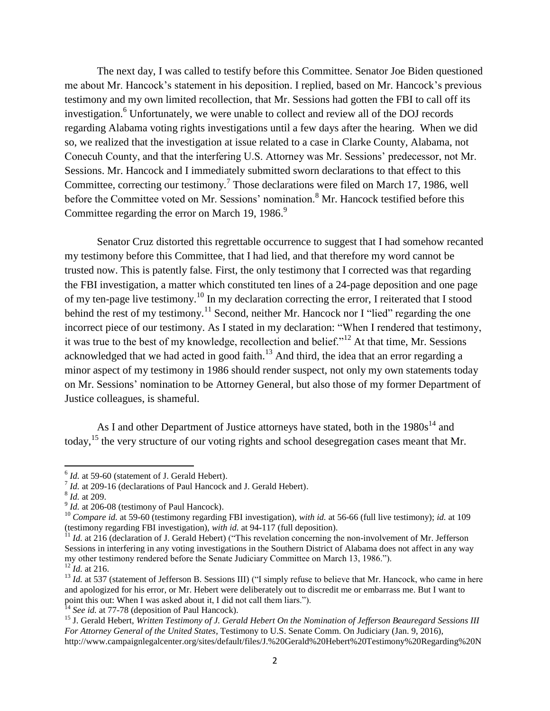The next day, I was called to testify before this Committee. Senator Joe Biden questioned me about Mr. Hancock's statement in his deposition. I replied, based on Mr. Hancock's previous testimony and my own limited recollection, that Mr. Sessions had gotten the FBI to call off its investigation.<sup>6</sup> Unfortunately, we were unable to collect and review all of the DOJ records regarding Alabama voting rights investigations until a few days after the hearing. When we did so, we realized that the investigation at issue related to a case in Clarke County, Alabama, not Conecuh County, and that the interfering U.S. Attorney was Mr. Sessions' predecessor, not Mr. Sessions. Mr. Hancock and I immediately submitted sworn declarations to that effect to this Committee, correcting our testimony.<sup>7</sup> Those declarations were filed on March 17, 1986, well before the Committee voted on Mr. Sessions' nomination.<sup>8</sup> Mr. Hancock testified before this Committee regarding the error on March 19, 1986. $9$ 

Senator Cruz distorted this regrettable occurrence to suggest that I had somehow recanted my testimony before this Committee, that I had lied, and that therefore my word cannot be trusted now. This is patently false. First, the only testimony that I corrected was that regarding the FBI investigation, a matter which constituted ten lines of a 24-page deposition and one page of my ten-page live testimony.<sup>10</sup> In my declaration correcting the error, I reiterated that I stood behind the rest of my testimony.<sup>11</sup> Second, neither Mr. Hancock nor I "lied" regarding the one incorrect piece of our testimony. As I stated in my declaration: "When I rendered that testimony, it was true to the best of my knowledge, recollection and belief."<sup>12</sup> At that time, Mr. Sessions acknowledged that we had acted in good faith.<sup>13</sup> And third, the idea that an error regarding a minor aspect of my testimony in 1986 should render suspect, not only my own statements today on Mr. Sessions' nomination to be Attorney General, but also those of my former Department of Justice colleagues, is shameful.

As I and other Department of Justice attorneys have stated, both in the  $1980s^{14}$  and today,<sup>15</sup> the very structure of our voting rights and school desegregation cases meant that Mr.

 6 *Id.* at 59-60 (statement of J. Gerald Hebert).

<sup>&</sup>lt;sup>7</sup> *Id.* at 209-16 (declarations of Paul Hancock and J. Gerald Hebert).

<sup>8</sup> *Id.* at 209.

<sup>&</sup>lt;sup>9</sup> *Id.* at 206-08 (testimony of Paul Hancock).

<sup>10</sup> *Compare id.* at 59-60 (testimony regarding FBI investigation), *with id.* at 56-66 (full live testimony); *id.* at 109 (testimony regarding FBI investigation), *with id.* at 94-117 (full deposition).

 $11$  *Id.* at 216 (declaration of J. Gerald Hebert) ("This revelation concerning the non-involvement of Mr. Jefferson Sessions in interfering in any voting investigations in the Southern District of Alabama does not affect in any way my other testimony rendered before the Senate Judiciary Committee on March 13, 1986.").  $^{12}$ *Id.* at 216.

<sup>&</sup>lt;sup>13</sup> *Id.* at 537 (statement of Jefferson B. Sessions III) ("I simply refuse to believe that Mr. Hancock, who came in here and apologized for his error, or Mr. Hebert were deliberately out to discredit me or embarrass me. But I want to point this out: When I was asked about it, I did not call them liars.").

<sup>&</sup>lt;sup>14</sup> *See id.* at 77-78 (deposition of Paul Hancock).

<sup>15</sup> J. Gerald Hebert, *Written Testimony of J. Gerald Hebert On the Nomination of Jefferson Beauregard Sessions III For Attorney General of the United States*, Testimony to U.S. Senate Comm. On Judiciary (Jan. 9, 2016), http://www.campaignlegalcenter.org/sites/default/files/J.%20Gerald%20Hebert%20Testimony%20Regarding%20N